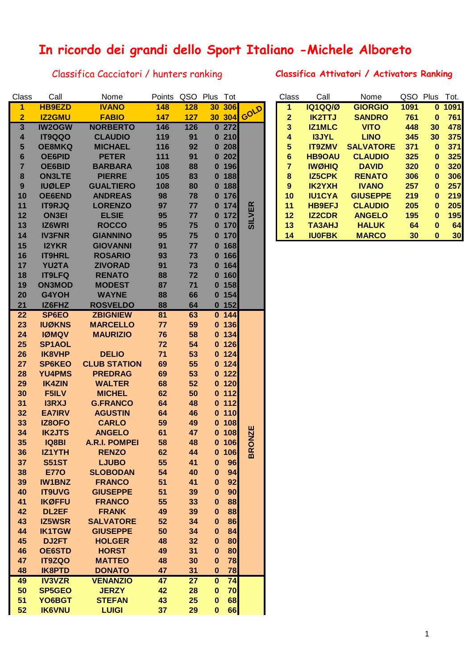## **In ricordo dei grandi dello Sport Italiano -Michele Alboreto**

## Classifica Cacciatori / hunters ranking **Classifica Attivatori / Activators Ranking**

| Class                   | Call          | Nome                 | Points QSO Plus Tot |      |              |         |               | Class          | Call           | Nome             |      | QSO Plus Tot. |      |
|-------------------------|---------------|----------------------|---------------------|------|--------------|---------|---------------|----------------|----------------|------------------|------|---------------|------|
| 1                       | <b>HB9EZD</b> | <b>IVANO</b>         | 148                 | 128  |              | 30 306  | GOLD          | 1              | <b>IQ1QQ/Ø</b> | <b>GIORGIO</b>   | 1091 | $\mathbf{0}$  | 1091 |
| $\overline{2}$          | <b>IZ2GMU</b> | <b>FABIO</b>         | 147                 | 127  |              | 30 304  |               | $\mathbf{2}$   | <b>IK2TTJ</b>  | <b>SANDRO</b>    | 761  | $\mathbf{0}$  | 761  |
| $\overline{\mathbf{3}}$ | <b>IW2OGW</b> | <b>NORBERTO</b>      | 146                 | 126  |              | 0272    |               | 3              | <b>IZ1MLC</b>  | <b>VITO</b>      | 448  | 30            | 478  |
| 4                       | IT9QQO        | <b>CLAUDIO</b>       | 119                 | 91   |              | 0210    |               | 4              | <b>I3JYL</b>   | <b>LINO</b>      | 345  | 30            | 375  |
| 5                       | <b>OE8MKQ</b> | <b>MICHAEL</b>       | 116                 | 92   |              | 0208    |               | 5              | <b>IT9ZMV</b>  | <b>SALVATORE</b> | 371  | $\mathbf 0$   | 371  |
| $6\phantom{1}$          | <b>OE6PID</b> | <b>PETER</b>         | 111                 | 91   |              | 0202    |               | $6\phantom{a}$ | <b>HB9OAU</b>  | <b>CLAUDIO</b>   | 325  | $\mathbf{0}$  | 325  |
| $\overline{7}$          | OE6BID        | <b>BARBARA</b>       | 108                 | 88   |              | $0$ 196 |               | 7              | <b>IWØHIQ</b>  | <b>DAVID</b>     | 320  | $\mathbf{0}$  | 320  |
| $\bf8$                  | <b>ON3LTE</b> | <b>PIERRE</b>        | 105                 | 83   |              | 0 188   |               | 8              | <b>IZ5CPK</b>  | <b>RENATO</b>    | 306  | $\mathbf{0}$  | 306  |
| 9                       | <b>IUØLEP</b> | <b>GUALTIERO</b>     | 108                 | 80   |              | 0 188   |               | 9              | <b>IK2YXH</b>  | <b>IVANO</b>     | 257  | $\mathbf{0}$  | 257  |
| 10                      | <b>OE6END</b> | <b>ANDREAS</b>       | 98                  | 78   |              | $0$ 176 |               | 10             | <b>IU1CYA</b>  | <b>GIUSEPPE</b>  | 219  | $\mathbf{0}$  | 219  |
| 11                      | <b>IT9RJQ</b> | <b>LORENZO</b>       | 97                  | 77   |              | 0 174   |               | 11             | <b>HB9EFJ</b>  | <b>CLAUDIO</b>   | 205  | $\mathbf{0}$  | 205  |
| 12                      | <b>ON3EI</b>  | <b>ELSIE</b>         | 95                  | 77   |              | $0$ 172 | <b>SILVER</b> | 12             | <b>IZ2CDR</b>  | <b>ANGELO</b>    | 195  | $\mathbf{0}$  | 195  |
| 13                      | IZ6WRI        | <b>ROCCO</b>         | 95                  | 75   |              | $0$ 170 |               | 13             | <b>TA3AHJ</b>  | <b>HALUK</b>     | 64   | $\pmb{0}$     | 64   |
| 14                      | <b>IV3FNR</b> | <b>GIANNINO</b>      | 95                  | 75   |              | $0$ 170 |               | 14             | <b>IU0FBK</b>  | <b>MARCO</b>     | 30   | 0             | 30   |
| 15                      | <b>I2YKR</b>  | <b>GIOVANNI</b>      | 91                  | 77   |              | $0$ 168 |               |                |                |                  |      |               |      |
| 16                      | <b>IT9HRL</b> | <b>ROSARIO</b>       | 93                  | 73   |              | $0$ 166 |               |                |                |                  |      |               |      |
| 17                      |               | <b>ZIVORAD</b>       | 91                  |      |              |         |               |                |                |                  |      |               |      |
|                         | <b>YU2TA</b>  |                      |                     | 73   |              | 0 164   |               |                |                |                  |      |               |      |
| 18                      | <b>IT9LFQ</b> | <b>RENATO</b>        | 88                  | 72   |              | $0$ 160 |               |                |                |                  |      |               |      |
| 19                      | <b>ON3MOD</b> | <b>MODEST</b>        | 87                  | $71$ |              | 0.158   |               |                |                |                  |      |               |      |
| 20                      | G4YOH         | <b>WAYNE</b>         | 88                  | 66   |              | 0.154   |               |                |                |                  |      |               |      |
| 21                      | IZ6FHZ        | <b>ROSVELDO</b>      | 88                  | 64   |              | $0$ 152 |               |                |                |                  |      |               |      |
| 22                      | SP6EO         | <b>ZBIGNIEW</b>      | 81                  | 63   |              | 0 144   |               |                |                |                  |      |               |      |
| 23                      | <b>IUØKNS</b> | <b>MARCELLO</b>      | 77                  | 59   |              | $0$ 136 |               |                |                |                  |      |               |      |
| 24                      | <b>IØMQV</b>  | <b>MAURIZIO</b>      | 76                  | 58   |              | $0$ 134 |               |                |                |                  |      |               |      |
| 25                      | SP1AOL        |                      | 72                  | 54   |              | $0$ 126 |               |                |                |                  |      |               |      |
| 26                      | IK8VHP        | <b>DELIO</b>         | 71                  | 53   |              | 0 124   |               |                |                |                  |      |               |      |
| 27                      | <b>SP6KEO</b> | <b>CLUB STATION</b>  | 69                  | 55   |              | 0 124   |               |                |                |                  |      |               |      |
| 28                      | <b>YU4PMS</b> | <b>PREDRAG</b>       | 69                  | 53   |              | $0$ 122 |               |                |                |                  |      |               |      |
| 29                      | <b>IK4ZIN</b> | <b>WALTER</b>        | 68                  | 52   |              | $0$ 120 |               |                |                |                  |      |               |      |
| 30                      | F5ILV         | <b>MICHEL</b>        | 62                  | 50   |              | $0$ 112 |               |                |                |                  |      |               |      |
| 31                      | <b>I3RXJ</b>  | <b>G.FRANCO</b>      | 64                  | 48   |              | $0$ 112 |               |                |                |                  |      |               |      |
| 32                      | <b>EA7IRV</b> | <b>AGUSTIN</b>       | 64                  | 46   |              | $0$ 110 |               |                |                |                  |      |               |      |
| 33                      | <b>IZ8OFO</b> | <b>CARLO</b>         | 59                  | 49   |              | $0$ 108 |               |                |                |                  |      |               |      |
| 34                      | <b>IK2JTS</b> | <b>ANGELO</b>        | 61                  | 47   |              | $0$ 108 | <b>BRONZE</b> |                |                |                  |      |               |      |
| 35                      | <b>IQ8BI</b>  | <b>A.R.I. POMPEI</b> | 58                  | 48   |              | 0.106   |               |                |                |                  |      |               |      |
| 36                      | <b>IZ1YTH</b> | <b>RENZO</b>         | 62                  | 44   | $\mathbf{0}$ | 106     |               |                |                |                  |      |               |      |
| 37                      | <b>S51ST</b>  | <b>LJUBO</b>         | 55                  | 41   | $\bf{0}$     | 96      |               |                |                |                  |      |               |      |
| 38                      | <b>E770</b>   | <b>SLOBODAN</b>      | 54                  | 40   | $\bf{0}$     | 94      |               |                |                |                  |      |               |      |
| 39                      | <b>IW1BNZ</b> | <b>FRANCO</b>        | 51                  | 41   | $\bf{0}$     | 92      |               |                |                |                  |      |               |      |
| 40                      | <b>IT9UVG</b> | <b>GIUSEPPE</b>      | 51                  | 39   | $\bf{0}$     | 90      |               |                |                |                  |      |               |      |
| 41                      | <b>IKØFFU</b> | <b>FRANCO</b>        | 55                  | 33   | $\bf{0}$     | 88      |               |                |                |                  |      |               |      |
| 42                      | DL2EF         | <b>FRANK</b>         | 49                  | 39   | $\bf{0}$     | 88      |               |                |                |                  |      |               |      |
| 43                      | <b>IZ5WSR</b> | <b>SALVATORE</b>     | 52                  | 34   | $\bf{0}$     | 86      |               |                |                |                  |      |               |      |
| 44                      | <b>IK1TGW</b> | <b>GIUSEPPE</b>      | 50                  | 34   | $\bf{0}$     | 84      |               |                |                |                  |      |               |      |
| 45                      | DJ2FT         | <b>HOLGER</b>        | 48                  | 32   | $\bf{0}$     | 80      |               |                |                |                  |      |               |      |
| 46                      | <b>OE6STD</b> | <b>HORST</b>         | 49                  | 31   | $\bf{0}$     | 80      |               |                |                |                  |      |               |      |
| 47                      | <b>IT9ZQO</b> | <b>MATTEO</b>        | 48                  | 30   | $\bf{0}$     | 78      |               |                |                |                  |      |               |      |
| 48                      | <b>IK8PTD</b> | <b>DONATO</b>        | 47                  | 31   | $\mathbf{0}$ | 78      |               |                |                |                  |      |               |      |
| 49                      | <b>IV3VZR</b> | <b>VENANZIO</b>      | 47                  | 27   | $\pmb{0}$    | 74      |               |                |                |                  |      |               |      |
| 50                      | <b>SP5GEO</b> | <b>JERZY</b>         | 42                  | 28   | $\bf{0}$     | 70      |               |                |                |                  |      |               |      |
| 51                      | YO6BGT        | <b>STEFAN</b>        | 43                  | 25   | $\pmb{0}$    | 68      |               |                |                |                  |      |               |      |
| 52                      | <b>IK6VNU</b> | <b>LUIGI</b>         | 37                  | 29   | $\mathbf 0$  | 66      |               |                |                |                  |      |               |      |

| Class | Call           | Nome             | QSO  | Plus | Tot. |
|-------|----------------|------------------|------|------|------|
| 1     | <b>10100/0</b> | <b>GIORGIO</b>   | 1091 | 0    | 1091 |
| 2     | <b>IK2TTJ</b>  | <b>SANDRO</b>    | 761  | 0    | 761  |
| 3     | <b>IZ1MLC</b>  | <b>VITO</b>      | 448  | 30   | 478  |
| 4     | <b>I3JYL</b>   | <b>LINO</b>      | 345  | 30   | 375  |
| 5     | <b>IT9ZMV</b>  | <b>SALVATORE</b> | 371  | 0    | 371  |
| 6     | <b>HB9OAU</b>  | <b>CLAUDIO</b>   | 325  | 0    | 325  |
| 7     | <b>IWØHIQ</b>  | <b>DAVID</b>     | 320  | 0    | 320  |
| 8     | <b>IZ5CPK</b>  | <b>RENATO</b>    | 306  | 0    | 306  |
| 9     | <b>IK2YXH</b>  | <b>IVANO</b>     | 257  | O    | 257  |
| 10    | <b>IU1CYA</b>  | <b>GIUSEPPE</b>  | 219  | 0    | 219  |
| 11    | <b>HB9EFJ</b>  | <b>CLAUDIO</b>   | 205  | O    | 205  |
| 12    | <b>IZ2CDR</b>  | <b>ANGELO</b>    | 195  | 0    | 195  |
| 13    | <b>TA3AHJ</b>  | <b>HALUK</b>     | 64   | O    | 64   |
| 14    | <b>IU0FBK</b>  | <b>MARCO</b>     | 30   | 0    | 30   |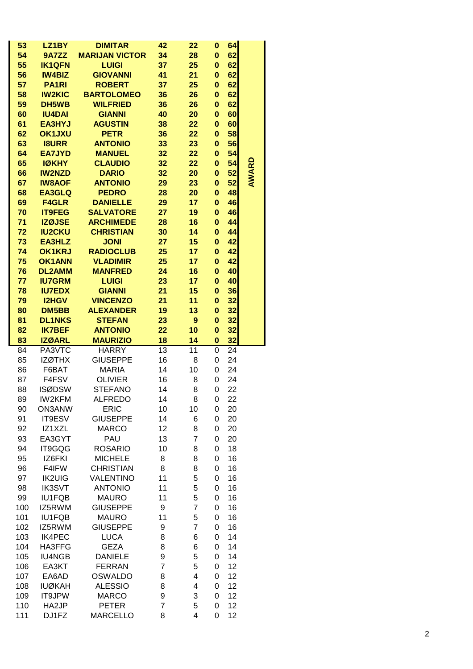| 53         | LZ <sub>1</sub> BY             | <b>DIMITAR</b>                    | 42             | 22             | 0                        | 64       |              |
|------------|--------------------------------|-----------------------------------|----------------|----------------|--------------------------|----------|--------------|
| 54         | 9A7ZZ                          | <b>MARIJAN VICTOR</b>             | 34             | 28             | $\bf{0}$                 | 62       |              |
| 55         | <b>IK1QFN</b>                  | <b>LUIGI</b>                      | 37             | 25             | $\bf{0}$                 | 62       |              |
| 56         | <b>IW4BIZ</b>                  | <b>GIOVANNI</b>                   | 41             | 21             | 0                        | 62       |              |
| 57         | <b>PA1RI</b>                   | <b>ROBERT</b>                     | 37             | 25             | $\bf{0}$                 | 62       |              |
| 58         | <b>IW2KIC</b>                  | <b>BARTOLOMEO</b>                 | 36             | 26             | $\bf{0}$                 | 62       |              |
| 59         | DH5WB                          | <b>WILFRIED</b>                   | 36             | 26             | $\bf{0}$                 | 62       |              |
| 60<br>61   | <b>IU4DAI</b><br><b>EA3HYJ</b> | <b>GIANNI</b><br><b>AGUSTIN</b>   | 40<br>38       | 20<br>22       | $\bf{0}$<br>$\mathbf{0}$ | 60<br>60 |              |
| 62         | <b>OK1JXU</b>                  | <b>PETR</b>                       | 36             | 22             | $\bf{0}$                 | 58       |              |
| 63         | <b>I8URR</b>                   | <b>ANTONIO</b>                    | 33             | 23             | $\bf{0}$                 | 56       |              |
| 64         | <b>EA7JYD</b>                  | <b>MANUEL</b>                     | 32             | 22             | $\bf{0}$                 | 54       |              |
| 65         | <b>IØKHY</b>                   | <b>CLAUDIO</b>                    | 32             | 22             | $\bf{0}$                 | 54       |              |
| 66         | <b>IW2NZD</b>                  | <b>DARIO</b>                      | 32             | 20             | 0                        | 52       | <b>AWARD</b> |
| 67         | <b>IW8AOF</b>                  | <b>ANTONIO</b>                    | 29             | 23             | $\bf{0}$                 | 52       |              |
| 68         | <b>EA3GLQ</b>                  | <b>PEDRO</b>                      | 28             | 20             | 0                        | 48       |              |
| 69         | <b>F4GLR</b>                   | <b>DANIELLE</b>                   | 29             | 17             | $\bf{0}$                 | 46       |              |
| 70         | <b>IT9FEG</b>                  | <b>SALVATORE</b>                  | 27             | 19             | 0                        | 46       |              |
| 71         | <b>IZØJSE</b>                  | <b>ARCHIMEDE</b>                  | 28             | 16             | 0                        | 44       |              |
| 72         | <b>IU2CKU</b>                  | <b>CHRISTIAN</b>                  | 30             | 14             | $\bf{0}$                 | 44       |              |
| 73         | <b>EA3HLZ</b>                  | <b>JONI</b>                       | 27             | 15             | $\bf{0}$                 | 42       |              |
| 74         | <b>OK1KRJ</b>                  | <b>RADIOCLUB</b>                  | 25             | 17             | $\bf{0}$                 | 42       |              |
| 75         | <b>OK1ANN</b>                  | <b>VLADIMIR</b>                   | 25             | 17             | $\bf{0}$                 | 42       |              |
| 76         | <b>DL2AMM</b>                  | <b>MANFRED</b>                    | 24             | 16             | $\bf{0}$                 | 40       |              |
| 77         | <b>IU7GRM</b>                  | <b>LUIGI</b>                      | 23             | 17             | $\bf{0}$                 | 40       |              |
| 78         | <b>IU7EDX</b>                  | <b>GIANNI</b>                     | 21             | 15             | $\bf{0}$                 | 36       |              |
| 79         | <b>I2HGV</b>                   | <b>VINCENZO</b>                   | 21             | 11             | $\bf{0}$                 | 32       |              |
| 80         | DM5BB<br><b>DL1NKS</b>         | <b>ALEXANDER</b><br><b>STEFAN</b> | 19             | 13             | $\bf{0}$                 | 32<br>32 |              |
| 81         |                                |                                   | 23             | 9              | $\bf{0}$                 |          |              |
|            |                                |                                   |                |                |                          |          |              |
| 82         | <b>IK7BEF</b>                  | <b>ANTONIO</b>                    | 22             | 10             | 0                        | 32       |              |
| 83         | <b>IZØARL</b>                  | <b>MAURIZIO</b>                   | 18             | 14             | 0                        | 32       |              |
| 84         | PA3VTC                         | <b>HARRY</b>                      | 13             | 11             | 0                        | 24       |              |
| 85         | <b>IZØTHX</b>                  | <b>GIUSEPPE</b>                   | 16             | 8              | 0                        | 24       |              |
| 86         | F6BAT                          | <b>MARIA</b>                      | 14             | 10             | 0<br>0                   | 24       |              |
| 87<br>88   | F4FSV<br><b>ISØDSW</b>         | <b>OLIVIER</b><br><b>STEFANO</b>  | 16<br>14       | 8<br>8         | 0                        | 24<br>22 |              |
| 89         | IW2KFM                         | <b>ALFREDO</b>                    | 14             | 8              | 0                        | 22       |              |
| 90         | <b>ON3ANW</b>                  | <b>ERIC</b>                       | 10             | 10             | 0                        | 20       |              |
| 91         | IT9ESV                         | <b>GIUSEPPE</b>                   | 14             | 6              | 0                        | 20       |              |
| 92         | IZ1XZL                         | <b>MARCO</b>                      | 12             | 8              | 0                        | 20       |              |
| 93         | EA3GYT                         | PAU                               | 13             | $\overline{7}$ | 0                        | 20       |              |
| 94         | IT9GQG                         | <b>ROSARIO</b>                    | 10             | 8              | 0                        | 18       |              |
| 95         | IZ6FKI                         | <b>MICHELE</b>                    | 8              | 8              | 0                        | 16       |              |
| 96         | F4IFW                          | <b>CHRISTIAN</b>                  | 8              | 8              | 0                        | 16       |              |
| 97         | <b>IK2UIG</b>                  | VALENTINO                         | 11             | 5              | 0                        | 16       |              |
| 98         | <b>IK3SVT</b>                  | <b>ANTONIO</b>                    | 11             | 5              | 0                        | 16       |              |
| 99         | <b>IU1FQB</b>                  | <b>MAURO</b>                      | 11             | 5              | 0                        | 16       |              |
| 100        | IZ5RWM                         | <b>GIUSEPPE</b>                   | 9              | $\overline{7}$ | 0                        | 16       |              |
| 101        | <b>IU1FQB</b>                  | <b>MAURO</b>                      | 11             | 5              | 0                        | 16       |              |
| 102        | IZ5RWM                         | <b>GIUSEPPE</b>                   | 9              | $\overline{7}$ | 0                        | 16       |              |
| 103        | <b>IK4PEC</b>                  | <b>LUCA</b>                       | 8              | 6              | 0                        | 14       |              |
| 104        | HA3FFG                         | <b>GEZA</b>                       | 8              | 6              | 0                        | 14       |              |
| 105        | <b>IU4NGB</b>                  | <b>DANIELE</b>                    | 9              | 5              | 0                        | 14       |              |
| 106        | EA3KT                          | <b>FERRAN</b>                     | $\overline{7}$ | 5              | 0                        | 12       |              |
| 107        | EA6AD                          | <b>OSWALDO</b>                    | 8              | 4              | 0                        | 12       |              |
| 108        | <b>IUØKAH</b>                  | <b>ALESSIO</b>                    | 8              | 4              | 0                        | 12       |              |
| 109<br>110 | IT9JPW<br>HA2JP                | <b>MARCO</b><br><b>PETER</b>      | 9<br>7         | 3<br>5         | 0<br>0                   | 12<br>12 |              |